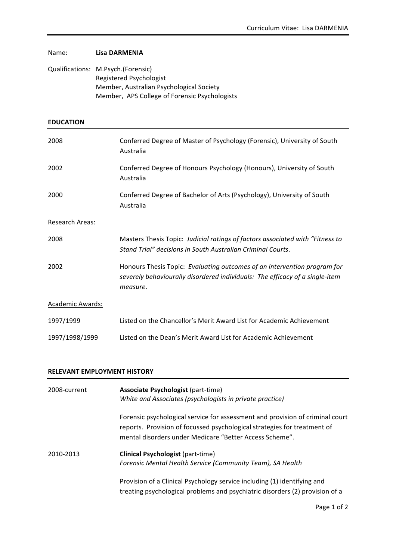|                  | Qualifications: M.Psych.(Forensic)<br>Registered Psychologist<br>Member, Australian Psychological Society<br>Member, APS College of Forensic Psychologists           |  |
|------------------|----------------------------------------------------------------------------------------------------------------------------------------------------------------------|--|
| <b>EDUCATION</b> |                                                                                                                                                                      |  |
| 2008             | Conferred Degree of Master of Psychology (Forensic), University of South<br>Australia                                                                                |  |
| 2002             | Conferred Degree of Honours Psychology (Honours), University of South<br>Australia                                                                                   |  |
| 2000             | Conferred Degree of Bachelor of Arts (Psychology), University of South<br>Australia                                                                                  |  |
| Research Areas:  |                                                                                                                                                                      |  |
| 2008             | Masters Thesis Topic: Judicial ratings of factors associated with "Fitness to<br>Stand Trial" decisions in South Australian Criminal Courts.                         |  |
| 2002             | Honours Thesis Topic: Evaluating outcomes of an intervention program for<br>severely behaviourally disordered individuals: The efficacy of a single-item<br>measure. |  |
| Academic Awards: |                                                                                                                                                                      |  |
| 1997/1999        | Listed on the Chancellor's Merit Award List for Academic Achievement                                                                                                 |  |
| 1997/1998/1999   | Listed on the Dean's Merit Award List for Academic Achievement                                                                                                       |  |

## **RELEVANT EMPLOYMENT HISTORY**

Name: **Lisa DARMENIA** 

| 2008-current | <b>Associate Psychologist (part-time)</b><br>White and Associates (psychologists in private practice)                                                                                                                |  |
|--------------|----------------------------------------------------------------------------------------------------------------------------------------------------------------------------------------------------------------------|--|
|              | Forensic psychological service for assessment and provision of criminal court<br>reports. Provision of focussed psychological strategies for treatment of<br>mental disorders under Medicare "Better Access Scheme". |  |
| 2010-2013    | <b>Clinical Psychologist (part-time)</b><br>Forensic Mental Health Service (Community Team), SA Health                                                                                                               |  |
|              | Provision of a Clinical Psychology service including (1) identifying and<br>treating psychological problems and psychiatric disorders (2) provision of a                                                             |  |